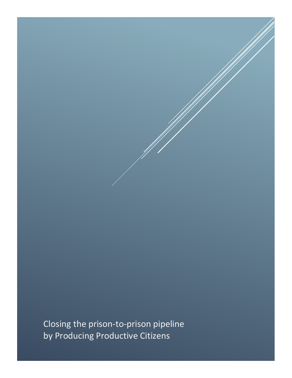Closing the prison-to-prison pipeline by Producing Productive Citizens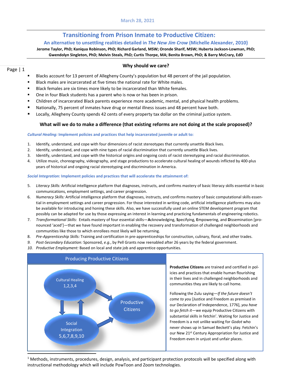### **Transitioning from Prison Inmate to Productive Citizen:**

### **An alternative to unsettling realities detailed in** *The New Jim Crow* **(Michelle Alexander, 2010}**

### **Jerome Taylor, PhD; Kaniqua Robinson, PhD; Richard Garland, MSW; Oronde Sharif, MSW; Huberta Jackson-Lowman, PhD; Gwendolyn Singleton, PhD; Melvin Steals, PhD; Curtis Thorpe, MA; Benita Brown, PhD; & Barry McCrary, EdD**

### Page | 1

### **Why should we care?**

- Blacks account for 13 percent of Allegheny County's population but 48 percent of the jail population.
- Black males are incarcerated at five times the national rate for White males.
- Black females are six times more likely to be incarcerated than White females.
- One in four Black students has a parent who is now or has been in prison.
- Children of incarcerated Black parents experience more academic, mental, and physical health problems.
- Nationally, 75 percent of inmates have drug or mental illness issues and 48 percent have both.
- Locally, Allegheny County spends 42 cents of every property tax dollar on the criminal justice system.

### **What will we do to make a difference (that existing reforms are not doing at the scale proposed)?**

#### *Cultural Healing:* **Implement policies and practices that help incarcerated juvenile or adult to:**

- 1. Identify, understand, and cope with four dimensions of racist stereotypes that currently unsettle Black lives.
- 2. Identify, understand, and cope with nine types of racial discrimination that currently unsettle Black lives.
- 3. Identify, understand, and cope with the historical origins and ongoing costs of racist stereotyping and racial discrimination.
- 4. Utilize music, choreography, videography, and stage productions to accelerate cultural healing of wounds inflicted by 400-plus years of historical and ongoing racial stereotyping and discrimination in America.

#### *Social Integration:* **Implement policies and practices that will accelerate the attainment of:**

- 5. *Literacy Skills:* Artificial intelligence platform that diagnoses, instructs, and confirms mastery of basic literacy skills essential in basic communications, employment settings, and career progression.
- 6. *Numeracy Skills:* Artificial intelligence platform that diagnoses, instructs, and confirms mastery of basic computational skills essential in employment settings and career progression. For those interested in writing code, artificial intelligence platforms may also be available for introducing and honing these skills. Also, we have successfully used an online STEM development program that possibly can be adapted for use by those expressing an interest in learning and practicing fundamentals of engineering robotics.
- 7. *Transformational Skills:* Entails mastery of four essential skills—**A**cknowledging, **S**pecifying, **E**mpowering, and **D**issemination [pronounced 'aced']—that we have found important in enabling the recovery and transformation of challenged neighborhoods and communities like those to which enrollees most likely will be returning.
- 8. *Pre-Apprenticeship Skills:* Training and certification in pre-apprenticeships for construction, culinary, floral, and other trades.
- *9. Post-Secondary Education:* Sponsored, *e.g.*, by Pell Grants now reenabled after 26 years by the federal government.
- *10. Productive Employment:* Based on local and state job and apprentice opportunities.



**Productive Citizens** are trained and certified in policies and practices that enable human flourishing in their lives and in challenged neighborhoods and communities they are likely to call home.

**What premises underly what we do? 1** our New 21st Century Appropriation for Justice and Following the Zulu saying—*If the future doesn't come to you* [Justice and Freedom as premised in our Declaration of Independence, 1776], *you have to go fetch it—*we equip Productive Citizens with substantial skills in fetchin'. Waiting for Justice and Freedom is a not unlike waiting for *Godot* who never shows up in Samuel Beckett's play. Fetchin's Freedom even in unjust and unfair places.

 $1$  Methods, instruments, procedures, design, analysis, and participant protection protocols will be specified along with instructional methodology which will include PowToon and Zoom technologies.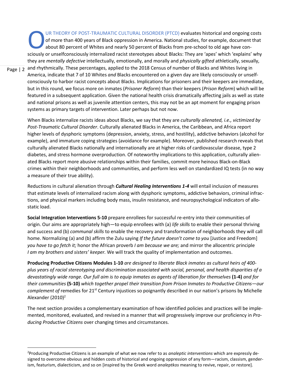Page | 2 UR THEORY OF POST-TRAUMATIC CULTURAL DISORDER (PTCD) evaluates historical and ongoing costs of more than 400 years of Black oppression in America. National studies, for example, document that about 80 percent of Whites and nearly 50 percent of Blacks from pre-school to old age have con-UR THEORY OF POST-TRAUMATIC CULTURAL DISORDER (PTCD) evaluates historical and ongoing costs of more than 400 years of Black oppression in America. National studies, for example, document that about 80 percent of Whites and they are *mentally defective* intellectually, emotionally, and morally and *physically gifted* athletically, sexually, and rhythmically. These percentages, applied to the 2018 Census of number of Blacks and Whites living in America, indicate that 7 of 10 Whites *and* Blacks encountered on a given day are likely consciously or unselfconsciously to harbor racist concepts about Blacks. Implications for prisoners and their keepers are immediate, but in this round, we focus more on inmates (*Prisoner Reform*) than their keepers (*Prison Reform*) which will be featured in a subsequent application. Given the national health crisis dramatically affecting jails as well as state and national prisons as well as juvenile attention centers, this may not be an apt moment for engaging prison systems as primary targets of intervention. Later perhaps but not now.

When Blacks internalize racists ideas about Blacks, we say that they are *culturally alienated, i.e., victimized by Post-Traumatic Cultural Disorder*. Culturally alienated Blacks in America, the Caribbean, and Africa report higher levels of dysphoric symptoms (depression, anxiety, stress, and hostility), addictive behaviors (alcohol for example), and immature coping strategies (avoidance for example). Moreover, published research reveals that culturally alienated Blacks nationally and internationally are at higher risks of cardiovascular disease, type 2 diabetes, and stress hormone overproduction. Of noteworthy implications to this application, culturally alienated Blacks report more abusive relationships within their families, commit more heinous Black-on-Black crimes within their neighborhoods and communities, and perform less well on standardized IQ tests (in no way a measure of their true ability).

Reductions in cultural alienation through *Cultural Healing Interventions 1-4* will entail inclusion of measures that estimate levels of internalized racism along with dysphoric symptoms, addictive behaviors, criminal infractions, and physical markers including body mass, insulin resistance, and neuropsychological indicators of allostatic load.

**Social Integration Interventions 5-10** prepare enrollees for successful re-entry into their communities of origin. Our aims are appropriately high—to equip enrollees with (a) *life skills* to enable their personal thriving and success and (b) *communal skills* to enable the recovery and transformation of neighborhoods they will call home. Normalizing (a) and (b) affirm the Zulu saying *If the future doesn't come to you* [Justice and Freedom] *you have to go fetch it;* honor the African proverb *I am because we are;* and mirror the allocentric principle *I am my brothers and sisters' keeper.* We will track the quality of implementation and outcomes.

**Producing Productive Citizens Modules 1-10** *are designed to liberate Black inmates as cultural heirs of 400 plus years of racial stereotyping and discrimination associated with social, personal, and health disparities of a devastatingly wide range. Our full aim is to equip inmates as agents of liberation for themselves* **(1-4)** *and for their communities* **(5-10)** *which together propel their transition from Prison Inmates to Productive Citizens—our complement of* remedies for 21st Century injustices so poignantly described in our nation's prisons by Michelle Alexander (2010)<sup>2</sup>

The next section provides a complementary examination of how identified policies and practices will be implemented, monitored, evaluated, and revised in a manner that will progressively improve our proficiency in *Producing Productive Citizens* over changing times and circumstances.

<sup>2</sup>Producing Productive Citizens is an example of what we now refer to as *analeptic interventions* which are expressly designed to overcome obvious and hidden costs of historical and ongoing oppression of any form—racism, classism, genderism, featurism, dialecticism, and so on [inspired by the Greek word *analeptkos* meaning to revive, repair, or restore].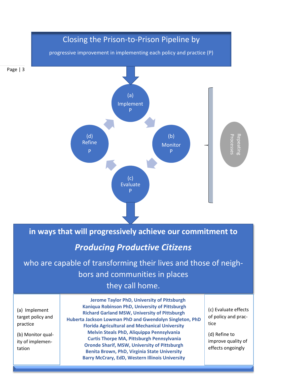

**in ways that will progressively achieve our commitment to** 

# *Producing Productive Citizens*

who are capable of transforming their lives and those of neighbors and communities in places they call home.

(a) Implement target policy and practice

(b) Monitor quality of implementation

**Jerome Taylor PhD, University of Pittsburgh Kaniqua Robinson PhD, University of Pittsburgh Richard Garland MSW, University of Pittsburgh Huberta Jackson Lowman PhD and Gwendolyn Singleton, PhD Florida Agricultural and Mechanical University Melvin Steals PhD, Aliquippa Pennsylvania Curtis Thorpe MA, Pittsburgh Pennsylvania Oronde Sharif, MSW, University of Pittsburgh Benita Brown, PhD, Virginia State University Barry McCrary, EdD, Western Illinois University**

(c) Evaluate effects of policy and practice

(d) Refine to improve quality of effects ongoingly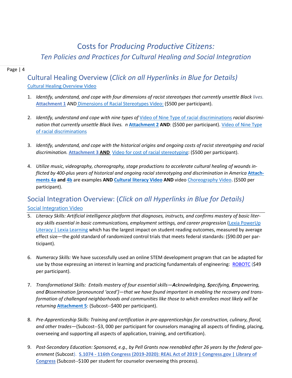## Costs for *Producing Productive Citizens: Ten Policies and Practices for Cultural Healing and Social Integration*

### Page | 4

### Cultural Healing Overview (*Click on all Hyperlinks in Blue for Details)* [Cultural Healing Overview Video](https://www.powtoon.com/c/bAM2nHXdg1C/1/m)

- 1. *Identify, understand, and cope with four dimensions of racist stereotypes that currently unsettle Black lives.* **[Attachment 1](https://1drv.ms/b/s!AozO-ULXd8UjnRhlFxzx4UFD5HhL?e=ZPQO7x)** AND [Dimensions of Racial Stereotypes Video:](https://www.powtoon.com/c/eWhuE4AAQW6/1/m) (\$500 per participant).
- 2. *Identify, understand and cope with nine types of* [Video of Nine Type of racial discriminations](https://www.powtoon.com/c/bPvUkVD80Hw/1/m) *racial discrimination that currently unsettle Black lives. n [Attachment 2](https://1drv.ms/b/s!AozO-ULXd8UjnRlxNOqTL3nZkijy?e=vJFrng) AND: (\$500 per participant). Video of Nine Type* [of racial discriminations](https://www.powtoon.com/c/bPvUkVD80Hw/1/m)
- 3. *Identify, understand, and cope with the historical origins and ongoing costs of racist stereotyping and racial discrimination.* **[Attachment 3](https://1drv.ms/b/s!AozO-ULXd8UjnRSKcGZnXRhkHJsM?e=VWOSIq) AND** [Video for cost of racial stereotyping:](https://www.powtoon.com/c/g9MHdJvUOUW/1/m) (\$500 per participant).
- 4. *Utilize music, videography, choreography, stage productions to accelerate cultural healing of wounds inflicted by 400-plus years of historical and ongoing racial stereotyping and discrimination in America* **[Attach](https://1drv.ms/b/s!AozO-ULXd8UjnRW_f_A5f4r7wZbq?e=rHcAE2)[ments 4a](https://1drv.ms/b/s!AozO-ULXd8UjnRW_f_A5f4r7wZbq?e=rHcAE2) and [4b](https://1drv.ms/b/s!AozO-ULXd8UjnRaz2Xp22_MB6G5J?e=FsrCq7)** are examples **AND [Cultural literacy Video](https://www.powtoon.com/c/cqZz0kqxb1E/1/m) AND** vide[o Choreography](https://www.powtoon.com/c/fQuRGhgVamA/1/m) Video. (\$500 per participant).

# Social Integration Overview: (*Click on all Hyperlinks in Blue for Details)*

### **Social [Integration](https://www.powtoon.com/c/bAUu8dbdtrX/1/m) Vide[o](https://www.powtoon.com/c/bAUu8dbdtrX/1/m)**

- 5. *Literacy Skills: Artificial intelligence platform that diagnoses, instructs, and confirms mastery of basic literacy skills essential in basic communications, employment settings, and career progression* [\(Lexia PowerUp](https://www.lexialearning.com/products/powerup)  [Literacy | Lexia Learning](https://www.lexialearning.com/products/powerup) which has the largest impact on student reading outcomes, measured by average effect size—the gold standard of randomized control trials that meets federal standards: (\$90.00 per participant).
- 6. *Numeracy Skills:* We have successfully used an online STEM development program that can be adapted for use by those expressing an interest in learning and practicing fundamentals of engineering: [ROBOTC](https://www.robotc.net/) (\$49 per participant).
- 7. *Transformational Skills: Entails mastery of four essential skills—Acknowledging, Specifying, Empowering, and Dissemination [pronounced 'aced']—that we have found important in enabling the recovery and transformation of challenged neighborhoods and communities like those to which enrollees most likely will be returning* **[Attachment 5](https://1drv.ms/b/s!AozO-ULXd8UjnRctif9BMKMDwWtQ?e=VsncSR)**: (Subcost--\$400 per participant).
- 8. *Pre-Apprenticeship Skills: Training and certification in pre-apprenticeships for construction, culinary, floral, and other trades*—(Subcost--\$3, 000 per participant for counselors managing all aspects of finding, placing, overseeing and supporting all aspects of application, training, and certification).
- 9. *Post-Secondary Education: Sponsored, e.g., by Pell Grants now reenabled after 26 years by the federal government* (Subcost). **S.1074 - [116th Congress \(2019-2020\): REAL Act of 2019 | Congress.gov | Library of](https://www.congress.gov/bill/116th-congress/senate-bill/1074)  [Congress](https://www.congress.gov/bill/116th-congress/senate-bill/1074)** (Subcost--\$100 per student for counselor overseeing this process).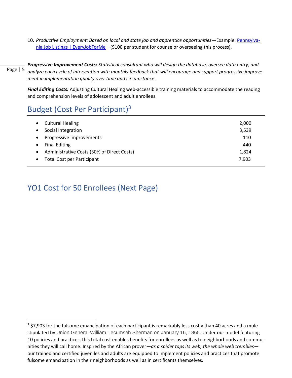10. *Productive Employment: Based on local and state job and apprentice opportunities*—Example: [Pennsylva](https://pennsylvania.everyjobforme.com/)[nia Job Listings | EveryJobForMe](https://pennsylvania.everyjobforme.com/)-(\$100 per student for counselor overseeing this process).

Page | 5 *Progressive Improvement Costs: Statistical consultant who will design the database, oversee data entry, and analyze each cycle of intervention with monthly feedback that will encourage and support progressive improvement in implementation quality over time and circumstance*.

*Final Editing Costs:* Adjusting Cultural Healing web-accessible training materials to accommodate the reading and comprehension levels of adolescent and adult enrollees.

### Budget (Cost Per Participant) 3

|           | <b>Cultural Healing</b>                    | 2,000 |
|-----------|--------------------------------------------|-------|
|           | Social Integration                         | 3,539 |
|           | Progressive Improvements                   | 110   |
| ٠         | <b>Final Editing</b>                       | 440   |
| $\bullet$ | Administrative Costs (30% of Direct Costs) | 1,824 |
|           | <b>Total Cost per Participant</b>          | 7,903 |

### YO1 Cost for 50 Enrollees (Next Page)

<sup>&</sup>lt;sup>3</sup> \$7,903 for the fulsome emancipation of each participant is remarkably less costly than 40 acres and a mule stipulated by Union General William Tecumseh Sherman on January 16, 1865. Under our model featuring 10 policies and practices, this total cost enables benefits for enrollees as well as to neighborhoods and communities they will call home. Inspired by the African prover—*as a spider taps its web, the whole web trembles* our trained and certified juveniles and adults are equipped to implement policies and practices that promote fulsome emancipation in their neighborhoods as well as in certificants themselves.